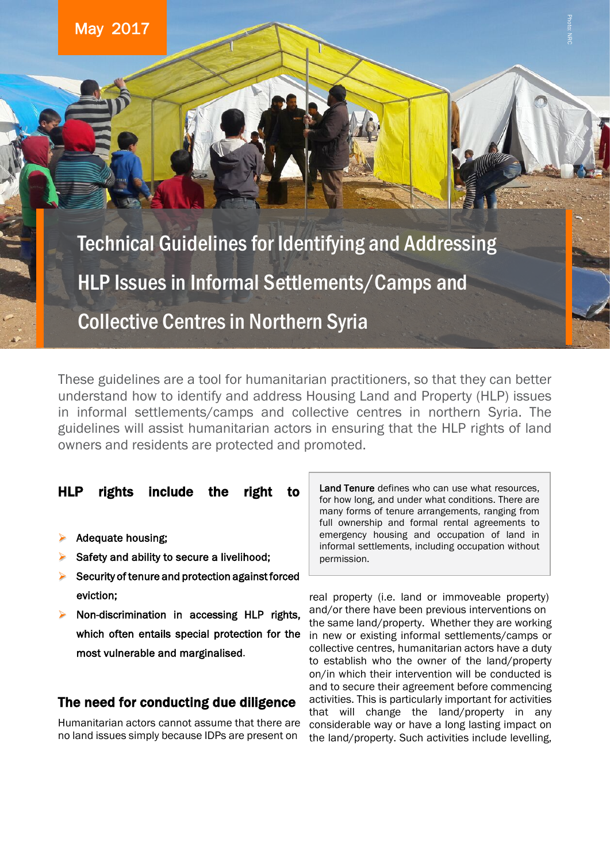

Collective Centres in Northern Syria Technical Guidelines for Identifying and Addressing HLP Issues in Informal Settlements/Camps and

These guidelines are a tool for humanitarian practitioners, so that they can better understand how to identify and address Housing Land and Property (HLP) issues in informal settlements/camps and collective centres in northern Syria. The guidelines will assist humanitarian actors in ensuring that the HLP rights of land owners and residents are protected and promoted.

### HLP rights include the right to

- Adequate housing;
- Safety and ability to secure a livelihood;
- $\triangleright$  Security of tenure and protection against forced eviction;
- Non-discrimination in accessing HLP rights, which often entails special protection for the most vulnerable and marginalised.

### The need for conducting due diligence

Humanitarian actors cannot assume that there are no land issues simply because IDPs are present on

Land Tenure defines who can use what resources. for how long, and under what conditions. There are many forms of tenure arrangements, ranging from full ownership and formal rental agreements to emergency housing and occupation of land in informal settlements, including occupation without permission.

real property (i.e. land or immoveable property) and/or there have been previous interventions on the same land/property. Whether they are working in new or existing informal settlements/camps or collective centres, humanitarian actors have a duty to establish who the owner of the land/property on/in which their intervention will be conducted is and to secure their agreement before commencing activities. This is particularly important for activities that will change the land/property in any considerable way or have a long lasting impact on the land/property. Such activities include levelling,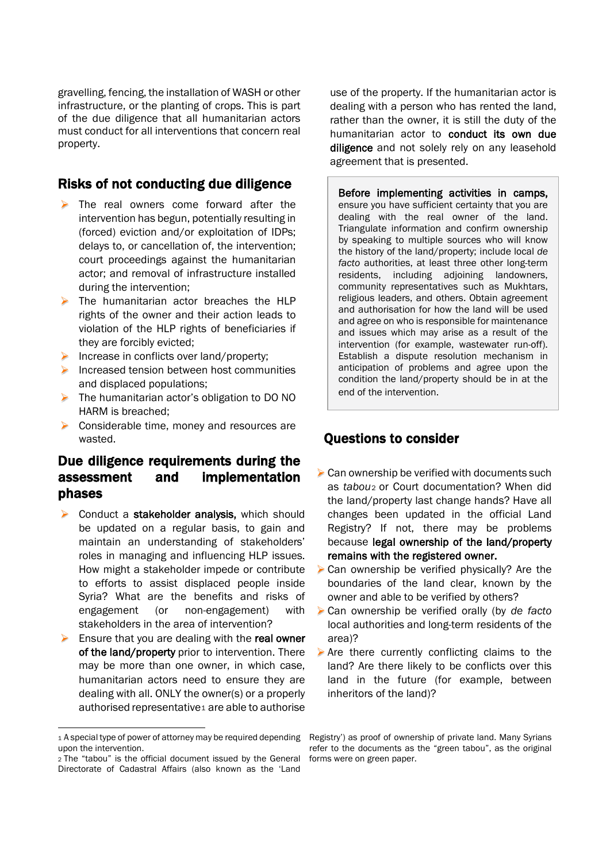gravelling, fencing, the installation of WASH or other infrastructure, or the planting of crops. This is part of the due diligence that all humanitarian actors must conduct for all interventions that concern real property.

### Risks of not conducting due diligence

- $\triangleright$  The real owners come forward after the intervention has begun, potentially resulting in (forced) eviction and/or exploitation of IDPs; delays to, or cancellation of, the intervention; court proceedings against the humanitarian actor; and removal of infrastructure installed during the intervention;
- $\triangleright$  The humanitarian actor breaches the HLP rights of the owner and their action leads to violation of the HLP rights of beneficiaries if they are forcibly evicted;
- Increase in conflicts over land/property;
- $\blacktriangleright$  Increased tension between host communities and displaced populations;
- ▶ The humanitarian actor's obligation to DO NO HARM is breached;
- Considerable time, money and resources are wasted.

## Due diligence requirements during the assessment and implementation phases

- Conduct a stakeholder analysis, which should be updated on a regular basis, to gain and maintain an understanding of stakeholders' roles in managing and influencing HLP issues. How might a stakeholder impede or contribute to efforts to assist displaced people inside Syria? What are the benefits and risks of engagement (or non-engagement) with stakeholders in the area of intervention?
- Ensure that you are dealing with the real owner of the land/property prior to intervention. There may be more than one owner, in which case, humanitarian actors need to ensure they are dealing with all. ONLY the owner(s) or a properly authorised representative<sub>[1](#page-1-0)</sub> are able to authorise

-

use of the property. If the humanitarian actor is dealing with a person who has rented the land, rather than the owner, it is still the duty of the humanitarian actor to conduct its own due diligence and not solely rely on any leasehold agreement that is presented.

Before implementing activities in camps, ensure you have sufficient certainty that you are dealing with the real owner of the land. Triangulate information and confirm ownership by speaking to multiple sources who will know the history of the land/property; include local *de facto* authorities, at least three other long-term residents, including adjoining landowners, community representatives such as Mukhtars, religious leaders, and others. Obtain agreement and authorisation for how the land will be used and agree on who is responsible for maintenance and issues which may arise as a result of the intervention (for example, wastewater run-off). Establish a dispute resolution mechanism in anticipation of problems and agree upon the condition the land/property should be in at the end of the intervention.

### Questions to consider

- $\triangleright$  Can ownership be verified with documents such as *tabou*[2](#page-1-1) or Court documentation? When did the land/property last change hands? Have all changes been updated in the official Land Registry? If not, there may be problems because legal ownership of the land/property remains with the registered owner.
- ▶ Can ownership be verified physically? Are the boundaries of the land clear, known by the owner and able to be verified by others?
- Can ownership be verified orally (by *de facto* local authorities and long-term residents of the area)?
- $\triangleright$  Are there currently conflicting claims to the land? Are there likely to be conflicts over this land in the future (for example, between inheritors of the land)?

<span id="page-1-0"></span><sup>1</sup> A special type of power of attorney may be required depending upon the intervention.

<span id="page-1-1"></span><sup>2</sup> The "tabou" is the official document issued by the General Directorate of Cadastral Affairs (also known as the 'Land

Registry') as proof of ownership of private land. Many Syrians refer to the documents as the "green tabou", as the original forms were on green paper.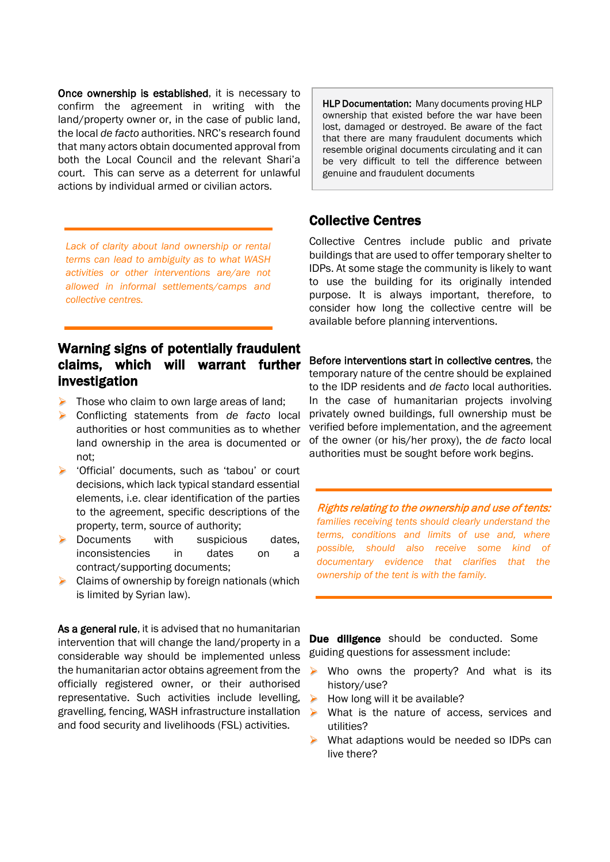Once ownership is established, it is necessary to confirm the agreement in writing with the land/property owner or, in the case of public land, the local *de facto* authorities. NRC's research found that many actors obtain documented approval from both the Local Council and the relevant Shari'a court. This can serve as a deterrent for unlawful actions by individual armed or civilian actors.

*Lack of clarity about land ownership or rental terms can lead to ambiguity as to what WASH activities or other interventions are/are not allowed in informal settlements/camps and collective centres.*

## Warning signs of potentially fraudulent claims, which will warrant further investigation

- $\triangleright$  Those who claim to own large areas of land:
- Conflicting statements from *de facto* local authorities or host communities as to whether land ownership in the area is documented or not;
- 'Official' documents, such as 'tabou' or court decisions, which lack typical standard essential elements, i.e. clear identification of the parties to the agreement, specific descriptions of the property, term, source of authority;
- Documents with suspicious dates, inconsistencies in dates on a contract/supporting documents;
- $\triangleright$  Claims of ownership by foreign nationals (which is limited by Syrian law).

As a general rule, it is advised that no humanitarian intervention that will change the land/property in a considerable way should be implemented unless the humanitarian actor obtains agreement from the officially registered owner, or their authorised representative. Such activities include levelling, gravelling, fencing, WASH infrastructure installation and food security and livelihoods (FSL) activities.

HLP Documentation: Many documents proving HLP ownership that existed before the war have been lost, damaged or destroyed. Be aware of the fact that there are many fraudulent documents which resemble original documents circulating and it can be very difficult to tell the difference between genuine and fraudulent documents

### Collective Centres

Collective Centres include public and private buildings that are used to offer temporary shelter to IDPs. At some stage the community is likely to want to use the building for its originally intended purpose. It is always important, therefore, to consider how long the collective centre will be available before planning interventions.

Before interventions start in collective centres, the temporary nature of the centre should be explained to the IDP residents and *de facto* local authorities. In the case of humanitarian projects involving privately owned buildings, full ownership must be verified before implementation, and the agreement of the owner (or his/her proxy), the *de facto* local authorities must be sought before work begins.

Rights relating to the ownership and use of tents: *families receiving tents should clearly understand the terms, conditions and limits of use and, where possible, should also receive some kind of documentary evidence that clarifies that the ownership of the tent is with the family.*

Due diligence should be conducted. Some guiding questions for assessment include:

- $\triangleright$  Who owns the property? And what is its history/use?
- $\triangleright$  How long will it be available?
- $\triangleright$  What is the nature of access, services and utilities?
- $\triangleright$  What adaptions would be needed so IDPs can live there?